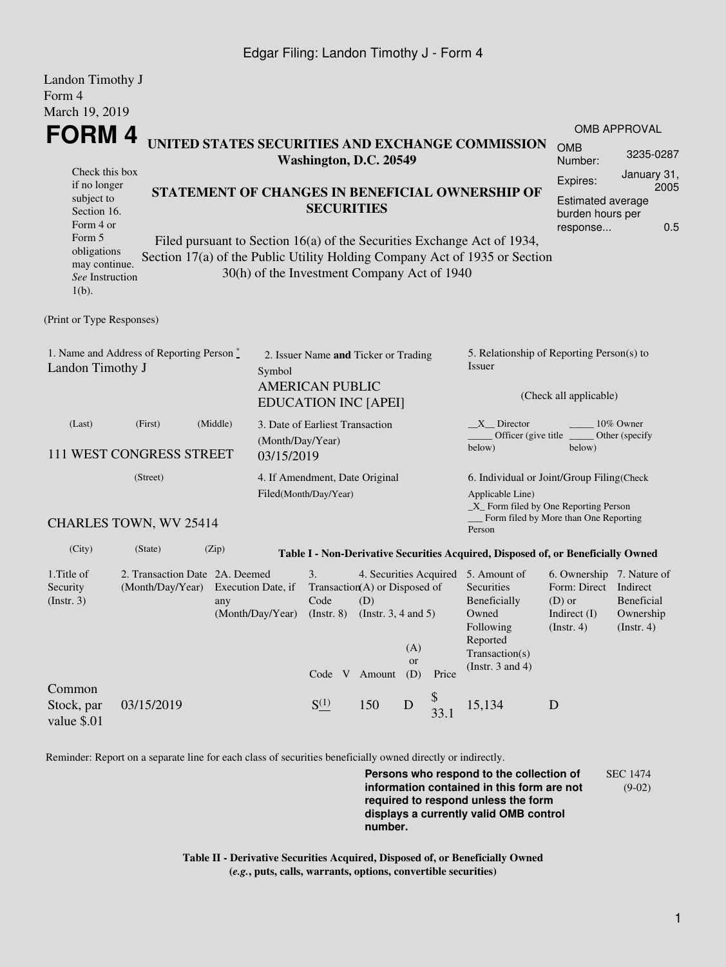### Edgar Filing: Landon Timothy J - Form 4

| Landon Timothy J                                                                                                                                                               |                                                                  |                                                                                                                                                                                                                                                                                                        |                                        |                                                                                               |                                                                                   |                         |            |                                                                                                                                                |                                                                                                      |                                                                                                     |  |
|--------------------------------------------------------------------------------------------------------------------------------------------------------------------------------|------------------------------------------------------------------|--------------------------------------------------------------------------------------------------------------------------------------------------------------------------------------------------------------------------------------------------------------------------------------------------------|----------------------------------------|-----------------------------------------------------------------------------------------------|-----------------------------------------------------------------------------------|-------------------------|------------|------------------------------------------------------------------------------------------------------------------------------------------------|------------------------------------------------------------------------------------------------------|-----------------------------------------------------------------------------------------------------|--|
| Form 4<br>March 19, 2019                                                                                                                                                       |                                                                  |                                                                                                                                                                                                                                                                                                        |                                        |                                                                                               |                                                                                   |                         |            |                                                                                                                                                |                                                                                                      |                                                                                                     |  |
|                                                                                                                                                                                | <b>FORM4</b><br>UNITED STATES SECURITIES AND EXCHANGE COMMISSION |                                                                                                                                                                                                                                                                                                        |                                        |                                                                                               |                                                                                   |                         |            | <b>OMB APPROVAL</b><br><b>OMB</b>                                                                                                              |                                                                                                      |                                                                                                     |  |
| Check this box<br>if no longer<br>subject to<br>Section 16.<br>Form 4 or<br>Form 5<br>obligations<br>may continue.<br>See Instruction<br>$1(b)$ .<br>(Print or Type Responses) |                                                                  | Washington, D.C. 20549<br>STATEMENT OF CHANGES IN BENEFICIAL OWNERSHIP OF<br><b>SECURITIES</b><br>Filed pursuant to Section 16(a) of the Securities Exchange Act of 1934,<br>Section 17(a) of the Public Utility Holding Company Act of 1935 or Section<br>30(h) of the Investment Company Act of 1940 |                                        |                                                                                               |                                                                                   |                         |            |                                                                                                                                                |                                                                                                      | 3235-0287<br>January 31,<br>2005<br><b>Estimated average</b><br>burden hours per<br>0.5<br>response |  |
| 1. Name and Address of Reporting Person*<br>Landon Timothy J                                                                                                                   |                                                                  |                                                                                                                                                                                                                                                                                                        | Symbol                                 | 2. Issuer Name and Ticker or Trading<br><b>AMERICAN PUBLIC</b><br><b>EDUCATION INC [APEI]</b> |                                                                                   |                         |            | 5. Relationship of Reporting Person(s) to<br>Issuer<br>(Check all applicable)                                                                  |                                                                                                      |                                                                                                     |  |
| (Last)                                                                                                                                                                         | (First)<br>111 WEST CONGRESS STREET                              | (Middle)                                                                                                                                                                                                                                                                                               | (Month/Day/Year)<br>03/15/2019         |                                                                                               | 3. Date of Earliest Transaction                                                   |                         |            | X Director<br>Officer (give title<br>below)                                                                                                    | below)                                                                                               | 10% Owner<br>Other (specify                                                                         |  |
| (Street)                                                                                                                                                                       |                                                                  |                                                                                                                                                                                                                                                                                                        |                                        | 4. If Amendment, Date Original<br>Filed(Month/Day/Year)                                       |                                                                                   |                         |            | 6. Individual or Joint/Group Filing(Check<br>Applicable Line)<br>_X_ Form filed by One Reporting Person                                        |                                                                                                      |                                                                                                     |  |
|                                                                                                                                                                                | <b>CHARLES TOWN, WV 25414</b>                                    |                                                                                                                                                                                                                                                                                                        |                                        |                                                                                               |                                                                                   |                         |            | Person                                                                                                                                         | Form filed by More than One Reporting                                                                |                                                                                                     |  |
| (City)                                                                                                                                                                         | (State)                                                          | (Zip)                                                                                                                                                                                                                                                                                                  |                                        |                                                                                               |                                                                                   |                         |            | Table I - Non-Derivative Securities Acquired, Disposed of, or Beneficially Owned                                                               |                                                                                                      |                                                                                                     |  |
| 1. Title of<br>Security<br>(Insert. 3)                                                                                                                                         | 2. Transaction Date 2A. Deemed<br>(Month/Day/Year)               | any                                                                                                                                                                                                                                                                                                    | Execution Date, if<br>(Month/Day/Year) | 3.<br>Code<br>$($ Instr. 8 $)$                                                                | Transaction(A) or Disposed of<br>(D)<br>(Instr. $3, 4$ and $5$ )<br>Code V Amount | (A)<br><b>or</b><br>(D) | Price      | 4. Securities Acquired 5. Amount of<br>Securities<br>Beneficially<br>Owned<br>Following<br>Reported<br>Transaction(s)<br>(Instr. $3$ and $4$ ) | 6. Ownership 7. Nature of<br>Form: Direct Indirect<br>$(D)$ or<br>Indirect $(I)$<br>$($ Instr. 4 $)$ | <b>Beneficial</b><br>Ownership<br>$($ Instr. 4 $)$                                                  |  |
| Common<br>Stock, par<br>value \$.01                                                                                                                                            | 03/15/2019                                                       |                                                                                                                                                                                                                                                                                                        |                                        | $S^{(1)}$                                                                                     | 150                                                                               | $\mathbf D$             | \$<br>33.1 | 15,134                                                                                                                                         | D                                                                                                    |                                                                                                     |  |

Reminder: Report on a separate line for each class of securities beneficially owned directly or indirectly.

**Persons who respond to the collection of information contained in this form are not required to respond unless the form displays a currently valid OMB control number.** SEC 1474 (9-02)

**Table II - Derivative Securities Acquired, Disposed of, or Beneficially Owned (***e.g.***, puts, calls, warrants, options, convertible securities)**